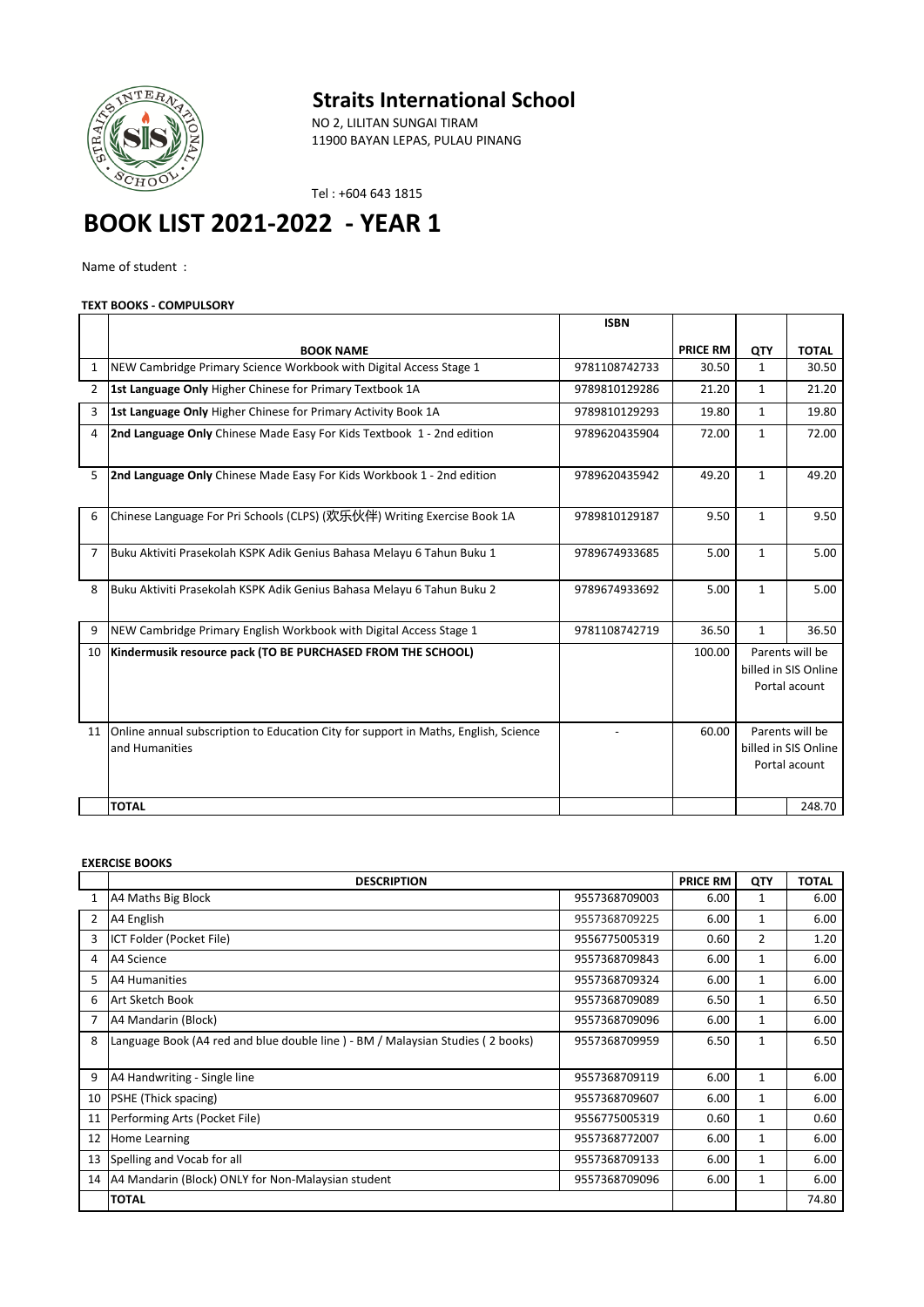

## **Straits International School**

NO 2, LILITAN SUNGAI TIRAM 11900 BAYAN LEPAS, PULAU PINANG

Tel : +604 643 1815

# **BOOK LIST 2021-2022 - YEAR 1**

Name of student :

## **TEXT BOOKS - COMPULSORY**

|    |                                                                                                       | <b>ISBN</b>   |                 |                                                          |              |
|----|-------------------------------------------------------------------------------------------------------|---------------|-----------------|----------------------------------------------------------|--------------|
|    | <b>BOOK NAME</b>                                                                                      |               | <b>PRICE RM</b> | <b>OTY</b>                                               | <b>TOTAL</b> |
| 1  | NEW Cambridge Primary Science Workbook with Digital Access Stage 1                                    | 9781108742733 | 30.50           | $\mathbf{1}$                                             | 30.50        |
| 2  | 1st Language Only Higher Chinese for Primary Textbook 1A                                              | 9789810129286 | 21.20           | $\mathbf{1}$                                             | 21.20        |
| 3  | 1st Language Only Higher Chinese for Primary Activity Book 1A                                         | 9789810129293 | 19.80           | $\mathbf{1}$                                             | 19.80        |
| 4  | 2nd Language Only Chinese Made Easy For Kids Textbook 1 - 2nd edition                                 | 9789620435904 | 72.00           | $\mathbf{1}$                                             | 72.00        |
| 5  | 2nd Language Only Chinese Made Easy For Kids Workbook 1 - 2nd edition                                 | 9789620435942 | 49.20           | $\mathbf{1}$                                             | 49.20        |
| 6  | Chinese Language For Pri Schools (CLPS) (欢乐伙伴) Writing Exercise Book 1A                               | 9789810129187 | 9.50            | $\mathbf{1}$                                             | 9.50         |
| 7  | Buku Aktiviti Prasekolah KSPK Adik Genius Bahasa Melayu 6 Tahun Buku 1                                | 9789674933685 | 5.00            | $\mathbf{1}$                                             | 5.00         |
| 8  | Buku Aktiviti Prasekolah KSPK Adik Genius Bahasa Melayu 6 Tahun Buku 2                                | 9789674933692 | 5.00            | $\mathbf{1}$                                             | 5.00         |
| 9  | NEW Cambridge Primary English Workbook with Digital Access Stage 1                                    | 9781108742719 | 36.50           | $\mathbf{1}$                                             | 36.50        |
| 10 | Kindermusik resource pack (TO BE PURCHASED FROM THE SCHOOL)                                           |               | 100.00          | Parents will be<br>billed in SIS Online<br>Portal acount |              |
| 11 | Online annual subscription to Education City for support in Maths, English, Science<br>and Humanities |               | 60.00           | Parents will be<br>billed in SIS Online<br>Portal acount |              |
|    | <b>TOTAL</b>                                                                                          |               |                 |                                                          | 248.70       |

#### **EXERCISE BOOKS**

|                | <b>DESCRIPTION</b>                                                             |               | <b>PRICE RM</b> | QTY          | <b>TOTAL</b> |
|----------------|--------------------------------------------------------------------------------|---------------|-----------------|--------------|--------------|
| 1              | A4 Maths Big Block                                                             | 9557368709003 | 6.00            | 1            | 6.00         |
| 2              | A4 English                                                                     | 9557368709225 | 6.00            | 1            | 6.00         |
| 3              | ICT Folder (Pocket File)                                                       | 9556775005319 | 0.60            | 2            | 1.20         |
| 4              | A4 Science                                                                     | 9557368709843 | 6.00            | $\mathbf{1}$ | 6.00         |
| 5.             | A4 Humanities                                                                  | 9557368709324 | 6.00            | $\mathbf{1}$ | 6.00         |
| 6              | Art Sketch Book                                                                | 9557368709089 | 6.50            | $\mathbf{1}$ | 6.50         |
| $\overline{7}$ | A4 Mandarin (Block)                                                            | 9557368709096 | 6.00            | 1            | 6.00         |
| 8              | Language Book (A4 red and blue double line) - BM / Malaysian Studies (2 books) | 9557368709959 | 6.50            | $\mathbf{1}$ | 6.50         |
|                |                                                                                |               |                 |              |              |
| 9              | A4 Handwriting - Single line                                                   | 9557368709119 | 6.00            | $\mathbf{1}$ | 6.00         |
| 10             | PSHE (Thick spacing)                                                           | 9557368709607 | 6.00            | $\mathbf{1}$ | 6.00         |
| 11             | Performing Arts (Pocket File)                                                  | 9556775005319 | 0.60            | 1            | 0.60         |
| 12             | Home Learning                                                                  | 9557368772007 | 6.00            | $\mathbf{1}$ | 6.00         |
| 13             | Spelling and Vocab for all                                                     | 9557368709133 | 6.00            | $\mathbf{1}$ | 6.00         |
| 14             | A4 Mandarin (Block) ONLY for Non-Malaysian student                             | 9557368709096 | 6.00            | 1            | 6.00         |
|                | <b>TOTAL</b>                                                                   |               |                 |              | 74.80        |